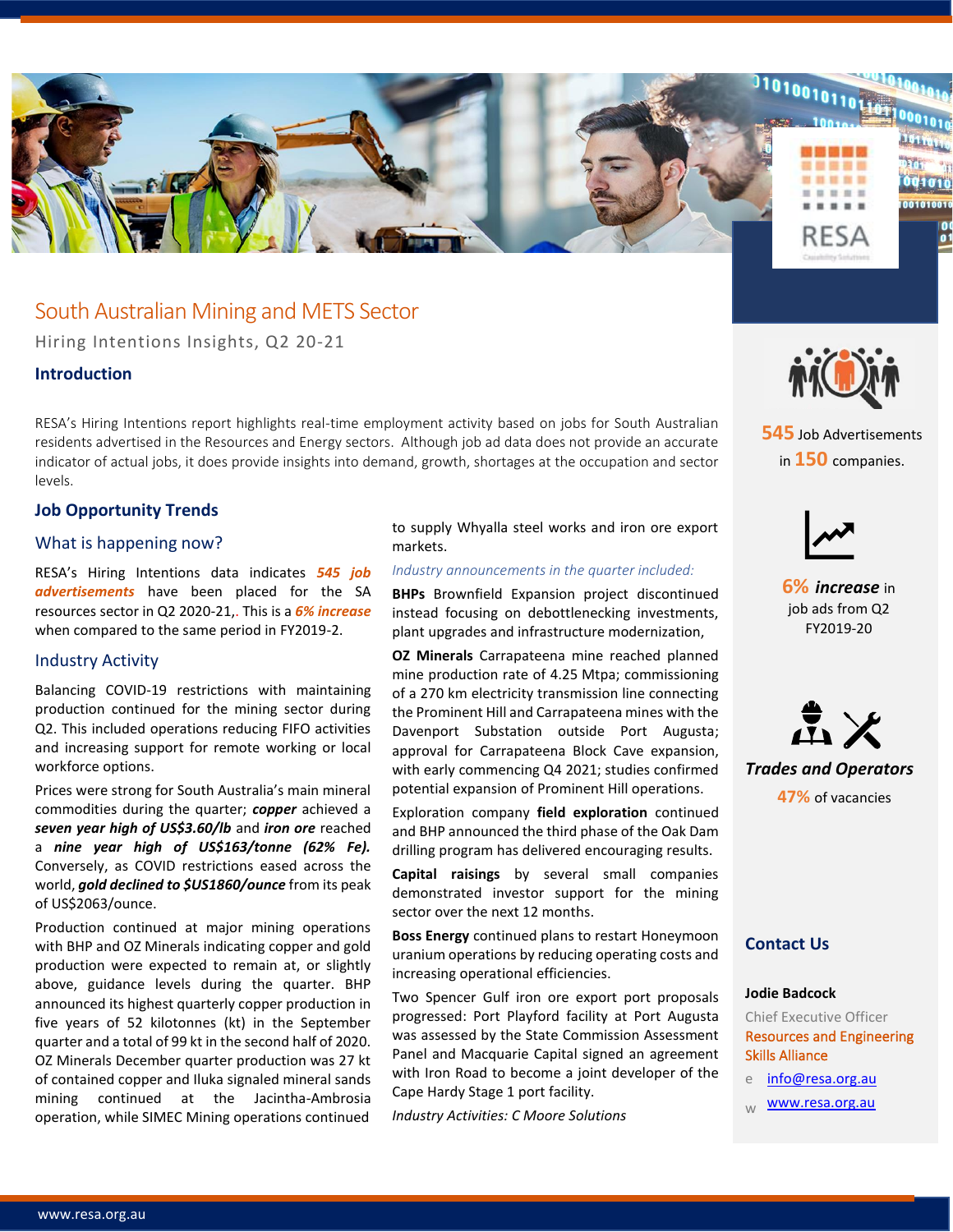

# South Australian Mining and METS Sector

Hiring Intentions Insights, Q2 20-21

## **Introduction**

RESA's Hiring Intentions report highlights real-time employment activity based on jobs for South Australian residents advertised in the Resources and Energy sectors. Although job ad data does not provide an accurate indicator of actual jobs, it does provide insights into demand, growth, shortages at the occupation and sector levels.

## **Job Opportunity Trends**

### What is happening now?

RESA's Hiring Intentions data indicates *545 job advertisements* have been placed for the SA resources sector in Q2 2020-21,. This is a *6% increase* when compared to the same period in FY2019-2.

#### Industry Activity

Balancing COVID-19 restrictions with maintaining production continued for the mining sector during Q2. This included operations reducing FIFO activities and increasing support for remote working or local workforce options.

Prices were strong for South Australia's main mineral commodities during the quarter; *copper* achieved a *seven year high of US\$3.60/lb* and *iron ore* reached a *nine year high of US\$163/tonne (62% Fe).*  Conversely, as COVID restrictions eased across the world, *gold declined to \$US1860/ounce* from its peak of US\$2063/ounce.

Production continued at major mining operations with BHP and OZ Minerals indicating copper and gold production were expected to remain at, or slightly above, guidance levels during the quarter. BHP announced its highest quarterly copper production in five years of 52 kilotonnes (kt) in the September quarter and a total of 99 kt in the second half of 2020. OZ Minerals December quarter production was 27 kt of contained copper and Iluka signaled mineral sands mining continued at the Jacintha-Ambrosia operation, while SIMEC Mining operations continued

to supply Whyalla steel works and iron ore export markets.

#### *Industry announcements in the quarter included:*

**BHPs** Brownfield Expansion project discontinued instead focusing on debottlenecking investments, plant upgrades and infrastructure modernization,

**OZ Minerals** Carrapateena mine reached planned mine production rate of 4.25 Mtpa; commissioning of a 270 km electricity transmission line connecting the Prominent Hill and Carrapateena mines with the Davenport Substation outside Port Augusta; approval for Carrapateena Block Cave expansion, with early commencing Q4 2021; studies confirmed potential expansion of Prominent Hill operations.

Exploration company **field exploration** continued and BHP announced the third phase of the Oak Dam drilling program has delivered encouraging results.

**Capital raisings** by several small companies demonstrated investor support for the mining sector over the next 12 months.

**Boss Energy** continued plans to restart Honeymoon uranium operations by reducing operating costs and increasing operational efficiencies.

Two Spencer Gulf iron ore export port proposals progressed: Port Playford facility at Port Augusta was assessed by the State Commission Assessment Panel and Macquarie Capital signed an agreement with Iron Road to become a joint developer of the Cape Hardy Stage 1 port facility.

*Industry Activities: C Moore Solutions* 



**545** Job Advertisements in **150** companies.



**6%** *increase* in job ads from Q2 FY2019-20



*Trades and Operators* **47%** of vacancies

## **Contact Us**

#### **Jodie Badcock**

Chief Executive Officer Resources and Engineering Skills Alliance

- e [info@resa.org.au](mailto:info@resa.org.au)
- [www.resa.org.au](http://www.resa.org.au/)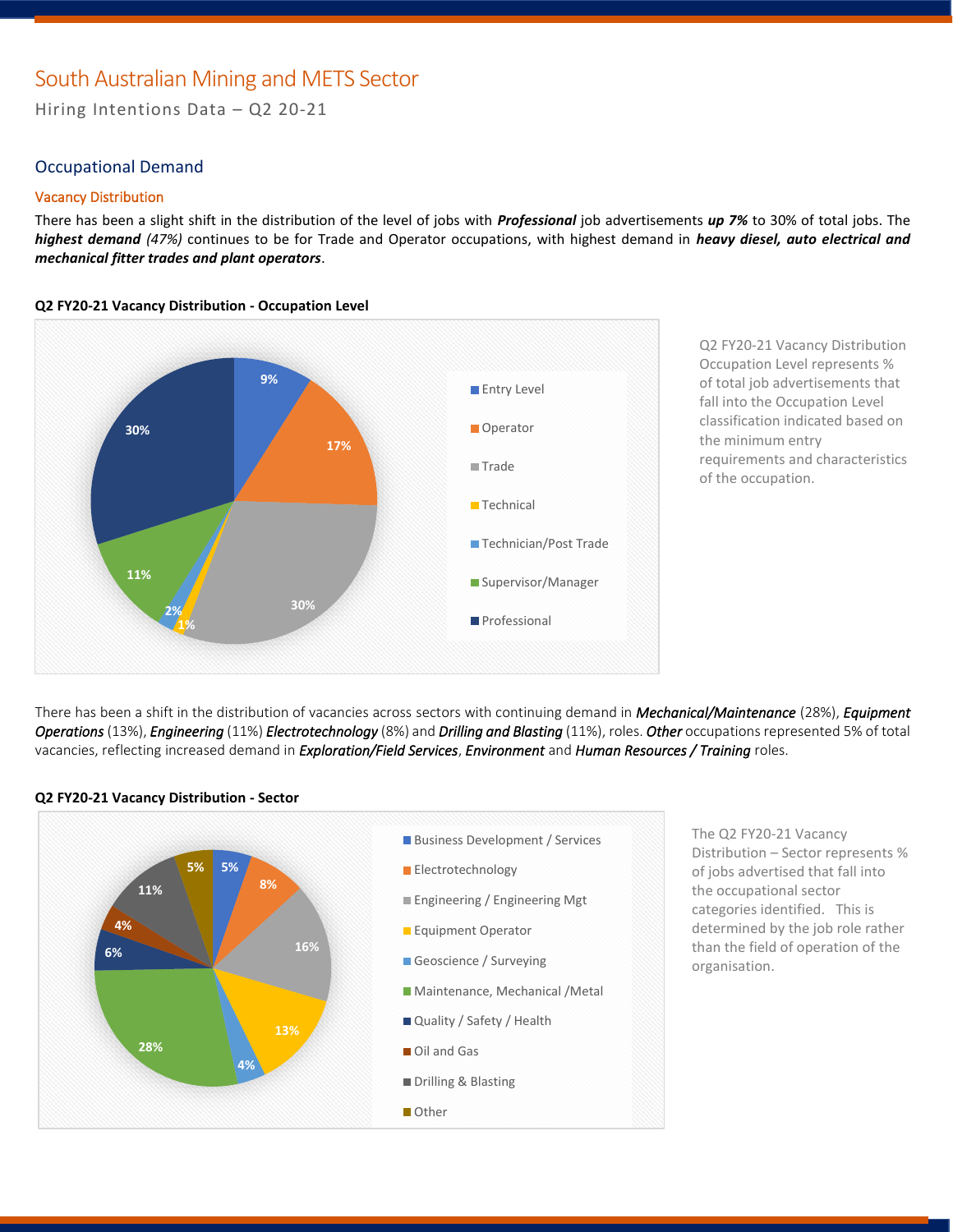# South Australian Mining and METS Sector

Hiring Intentions Data – Q2 20-21

## Occupational Demand

#### Vacancy Distribution

There has been a slight shift in the distribution of the level of jobs with *Professional* job advertisements *up 7%* to 30% of total jobs. The *highest demand (47%)* continues to be for Trade and Operator occupations, with highest demand in *heavy diesel, auto electrical and mechanical fitter trades and plant operators*.



Q2 FY20-21 Vacancy Distribution Occupation Level represents % of total job advertisements that fall into the Occupation Level classification indicated based on the minimum entry requirements and characteristics of the occupation.

There has been a shift in the distribution of vacancies across sectors with continuing demand in *Mechanical/Maintenance* (28%), *Equipment Operations* (13%), *Engineering* (11%) *Electrotechnology* (8%) and *Drilling and Blasting* (11%), roles. *Other* occupations represented 5% of total vacancies, reflecting increased demand in *Exploration/Field Services*, *Environment* and *Human Resources / Training* roles.



**Q2 FY20-21 Vacancy Distribution - Sector**

The Q2 FY20-21 Vacancy Distribution – Sector represents % of jobs advertised that fall into the occupational sector categories identified. This is determined by the job role rather than the field of operation of the organisation.